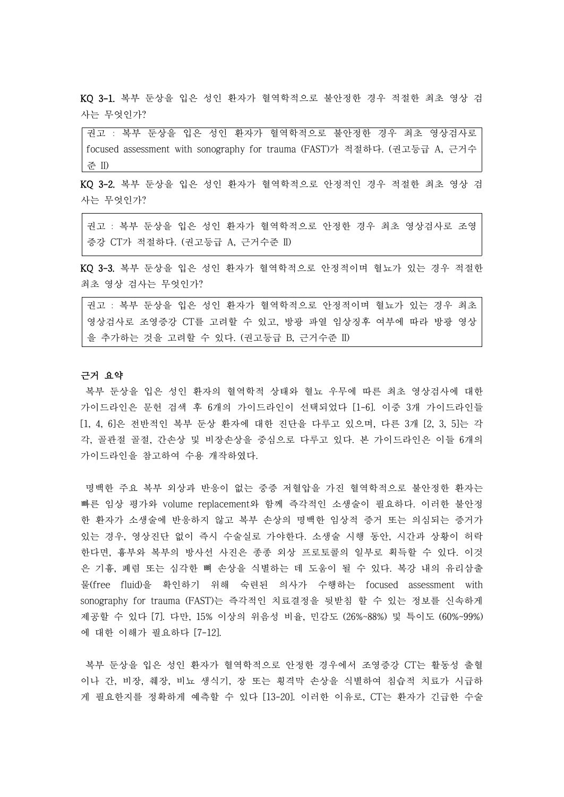KQ 3-1. 복부 둔상을 입은 성인 환자가 혈역학적으로 불안정한 경우 적절한 최초 영상 검 사는 무엇인가?

권고 : 복부 둔상을 입은 성인 환자가 혈역학적으로 불안정한 경우 최초 영상검사로 focused assessment with sonography for trauma (FAST)가 적절하다. (권고등급 A, 근거수 준 II)

KQ 3-2. 복부 둔상을 입은 성인 환자가 혈역학적으로 안정적인 경우 적절한 최초 영상 검 사는 무엇인가?

권고 : 복부 둔상을 입은 성인 환자가 혈역학적으로 안정한 경우 최초 영상검사로 조영 증강 CT가 적절하다. (권고등급 A, 근거수준 II)

KQ 3-3. 복부 둔상을 입은 성인 환자가 혈역학적으로 안정적이며 혈뇨가 있는 경우 적절한 최초 영상 검사는 무엇인가?

권고 : 복부 둔상을 입은 성인 환자가 혈역학적으로 안정적이며 혈뇨가 있는 경우 최초 영상검사로 조영증강 CT를 고려할 수 있고, 방광 파열 임상징후 여부에 따라 방광 영상 을 추가하는 것을 고려할 수 있다. (권고등급 B, 근거수준 II)

# 근거 요약

복부 둔상을 입은 성인 환자의 혈역학적 상태와 혈뇨 우무에 따른 최초 영상검사에 대한 가이드라인은 문헌 검색 후 6개의 가이드라인이 선택되었다 [1-6]. 이중 3개 가이드라인들 [1, 4, 6]은 전반적인 복부 둔상 환자에 대한 진단을 다루고 있으며, 다른 3개 [2, 3, 5]는 각 각, 골관절 골절, 간손상 및 비장손상을 중심으로 다루고 있다. 본 가이드라인은 이들 6개의 가이드라인을 참고하여 수용 개작하였다.

명백한 주요 복부 외상과 반응이 없는 중증 저혈압을 가진 혈역학적으로 불안정한 환자는 빠른 임상 평가와 volume replacement와 함께 즉각적인 소생술이 필요하다. 이러한 불안정 한 환자가 소생술에 반응하지 않고 복부 손상의 명백한 임상적 증거 또는 의심되는 증거가 있는 경우, 영상진단 없이 즉시 수술실로 가야한다. 소생술 시행 동안, 시간과 상황이 허락 한다면, 흉부와 복부의 방사선 사진은 종종 외상 프로토콜의 일부로 획득할 수 있다. 이것 은 기흉, 폐렴 또는 심각한 뼈 손상을 식별하는 데 도움이 될 수 있다. 복강 내의 유리삼출 물(free fluid)을 확인하기 위해 숙련된 의사가 수행하는 focused assessment with sonography for trauma (FAST)는 즉각적인 치료결정을 뒷받침 할 수 있는 정보를 신속하게 제공할 수 있다 [7]. 다만, 15% 이상의 위음성 비율, 민감도 (26%~88%) 및 특이도 (60%~99%) 에 대한 이해가 필요하다 [7-12].

복부 둔상을 입은 성인 환자가 혈역학적으로 안정한 경우에서 조영증강 CT는 활동성 출혈 이나 간, 비장, 췌장, 비뇨 생식기, 장 또는 횡격막 손상을 식별하여 침습적 치료가 시급하 게 필요한지를 정확하게 예측할 수 있다 [13-20]. 이러한 이유로, CT는 환자가 긴급한 수술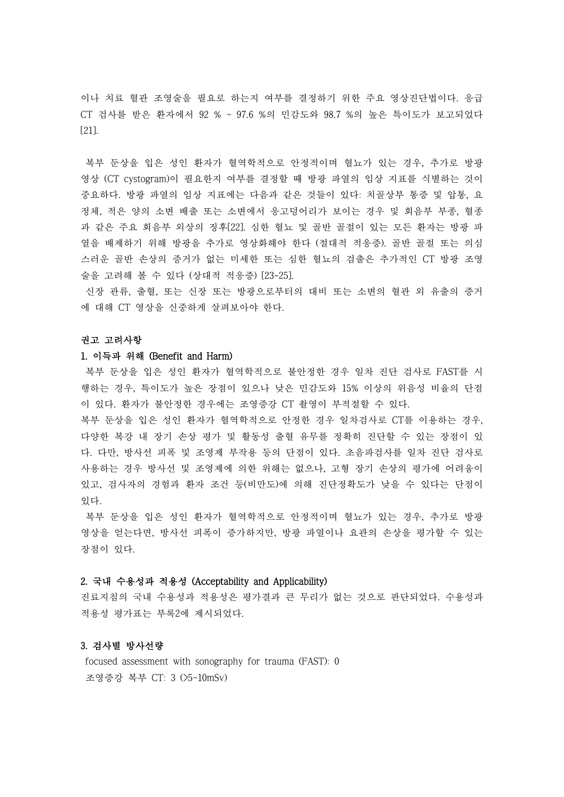이나 치료 혈관 조영술을 필요로 하는지 여부를 결정하기 위한 주요 영상진단법이다. 응급 CT 검사를 받은 환자에서 92 % ~ 97.6 %의 민감도와 98.7 %의 높은 특이도가 보고되었다 [21].

복부 둔상을 입은 성인 환자가 혈역학적으로 안정적이며 혈뇨가 있는 경우, 추가로 방광 영상 (CT cystogram)이 필요한지 여부를 결정할 때 방광 파열의 임상 지표를 식별하는 것이 중요하다. 방광 파열의 임상 지표에는 다음과 같은 것들이 있다: 치골상부 통증 및 압통, 요 정체, 적은 양의 소변 배출 또는 소변에서 응고덩어리가 보이는 경우 및 회음부 부종, 혈종 과 같은 주요 회음부 외상의 징후[22]. 심한 혈뇨 및 골반 골절이 있는 모든 환자는 방광 파 열을 배제하기 위해 방광을 추가로 영상화해야 한다 (절대적 적응증). 골반 골절 또는 의심 스러운 골반 손상의 증거가 없는 미세한 또는 심한 혈뇨의 검출은 추가적인 CT 방광 조영 술을 고려해 볼 수 있다 (상대적 적응증) [23-25].

신장 관류, 출혈, 또는 신장 또는 방광으로부터의 대비 또는 소변의 혈관 외 유출의 증거 에 대해 CT 영상을 신중하게 살펴보아야 한다.<br><br>**권고 고려사항** 

### 1. 이득과 위해 (Benefit and Harm)

복부 둔상을 입은 성인 환자가 혈역학적으로 불안정한 경우 일차 진단 검사로 FAST를 시 행하는 경우, 특이도가 높은 장점이 있으나 낮은 민감도와 15% 이상의 위음성 비율의 단점

이 있다. 환자가 불안정한 경우에는 조영증강 CT 촬영이 부적절할 수 있다.<br>복부 둔상을 입은 성인 환자가 혈역학적으로 안정한 경우 일차검사로 CT를 이용하는 경우,<br>다양한 복강 내 장기 손상 평가 및 활동성 출혈 유무를 정확히 진단할 수 있는 장점이 있 다. 다만, 방사선 피폭 및 조영제 부작용 등의 단점이 있다. 초음파검사를 일차 진단 검사로 사용하는 경우 방사선 및 조영제에 의한 위해는 없으나, 고형 장기 손상의 평가에 어려움이 있고, 검사자의 경험과 환자 조건 등(비만도)에 의해 진단정확도가 낮을 수 있다는 단점이 있다.<br>-<br>복부 둔상을 입은 성인 환자가 혈역학적으로 안정적이며 혈뇨가 있는 경우, 추가로 방광

영상을 얻는다면, 방사선 피폭이 증가하지만, 방광 파열이나 요관의 손상을 평가할 수 있는 장점이 있다.

# 2. 국내 수용성과 적용성 (Acceptability and Applicability)

진료지침의 국내 수용성과 적용성은 평가결과 큰 무리가 없는 것으로 판단되었다. 수용성과 적용성 평가표는 부록2에 제시되었다.

## 3. 검사별 방사선량

focused assessment with sonography for trauma (FAST): 0 조영증강 복부 CT: 3 (>5~10mSv)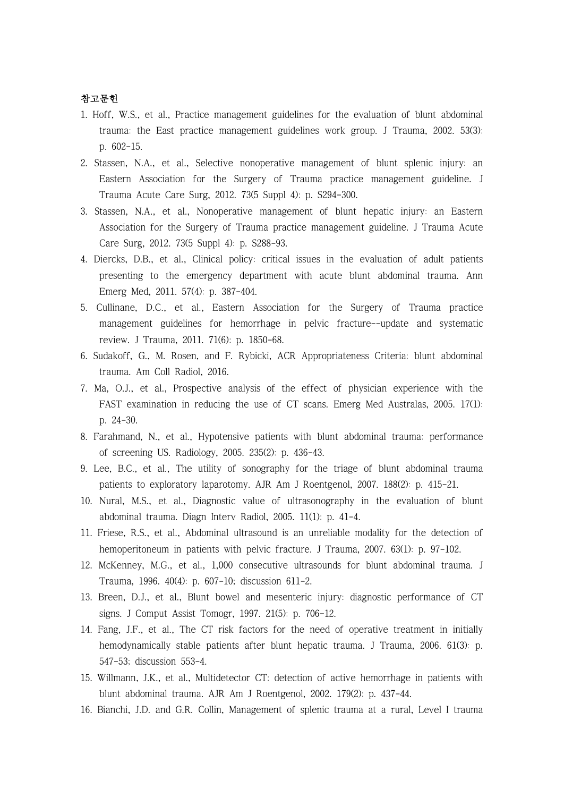# 참고문헌

- 1. Hoff, W.S., et al., Practice management guidelines for the evaluation of blunt abdominal trauma: the East practice management guidelines work group. J Trauma, 2002. 53(3): p. 602-15.
- 2. Stassen, N.A., et al., Selective nonoperative management of blunt splenic injury: an Eastern Association for the Surgery of Trauma practice management guideline. J Trauma Acute Care Surg, 2012. 73(5 Suppl 4): p. S294-300.
- 3. Stassen, N.A., et al., Nonoperative management of blunt hepatic injury: an Eastern Association for the Surgery of Trauma practice management guideline. J Trauma Acute Care Surg, 2012. 73(5 Suppl 4): p. S288-93.
- 4. Diercks, D.B., et al., Clinical policy: critical issues in the evaluation of adult patients presenting to the emergency department with acute blunt abdominal trauma. Ann Emerg Med, 2011. 57(4): p. 387-404.
- 5. Cullinane, D.C., et al., Eastern Association for the Surgery of Trauma practice management guidelines for hemorrhage in pelvic fracture--update and systematic review. J Trauma, 2011. 71(6): p. 1850-68.
- 6. Sudakoff, G., M. Rosen, and F. Rybicki, ACR Appropriateness Criteria: blunt abdominal trauma. Am Coll Radiol, 2016.
- 7. Ma, O.J., et al., Prospective analysis of the effect of physician experience with the FAST examination in reducing the use of CT scans. Emerg Med Australas, 2005. 17(1): p. 24-30.
- 8. Farahmand, N., et al., Hypotensive patients with blunt abdominal trauma: performance of screening US. Radiology, 2005. 235(2): p. 436-43.
- 9. Lee, B.C., et al., The utility of sonography for the triage of blunt abdominal trauma patients to exploratory laparotomy. AJR Am J Roentgenol, 2007. 188(2): p. 415-21.
- 10. Nural, M.S., et al., Diagnostic value of ultrasonography in the evaluation of blunt abdominal trauma. Diagn Interv Radiol, 2005. 11(1): p. 41-4.
- 11. Friese, R.S., et al., Abdominal ultrasound is an unreliable modality for the detection of hemoperitoneum in patients with pelvic fracture. J Trauma, 2007. 63(1): p. 97-102.
- 12. McKenney, M.G., et al., 1,000 consecutive ultrasounds for blunt abdominal trauma. J Trauma, 1996. 40(4): p. 607-10; discussion 611-2.
- 13. Breen, D.J., et al., Blunt bowel and mesenteric injury: diagnostic performance of CT signs. J Comput Assist Tomogr, 1997. 21(5): p. 706-12.
- 14. Fang, J.F., et al., The CT risk factors for the need of operative treatment in initially hemodynamically stable patients after blunt hepatic trauma. J Trauma, 2006. 61(3): p. 547-53; discussion 553-4.
- 15. Willmann, J.K., et al., Multidetector CT: detection of active hemorrhage in patients with blunt abdominal trauma. AJR Am J Roentgenol, 2002. 179(2): p. 437-44.
- 16. Bianchi, J.D. and G.R. Collin, Management of splenic trauma at a rural, Level I trauma